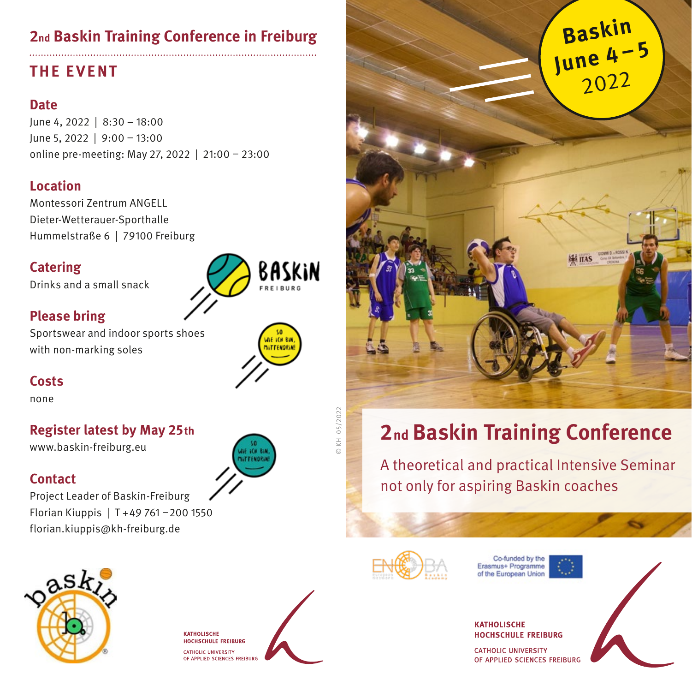## **THE EVENT**

#### **Date**

June 4, 2022 | 8:30 – 18:00 June 5, 2022 | 9:00 – 13:00 online pre-meeting: May 27, 2022 | 21:00 – 23:00

## **Location**

Montessori Zentrum ANGELL Dieter-Wetterauer-Sporthalle Hummelstraße 6 | 79100 Freiburg

## **Catering**

Drinks and a small snack



## **Please bring**

Sportswear and indoor sports shoes with non-marking soles



### **Costs**

none

## **Register latest by May 25th**

www.baskin-freiburg.eu

### **Contact**

Project Leader of Baskin-Freiburg Florian Kiuppis | T +49 761 –200 1550 florian.kiuppis@kh-freiburg.de



**KATHOLISCHE HOCHSCHULE FREIBURG** CATHOLIC UNIVERSITY OF APPLIED SCIENCES FREIBURG



# **2nd Baskin Training Conference**

A theoretical and practical Intensive Seminar not only for aspiring Baskin coaches



Co-funded by the Erasmus+ Programme of the European Union

**KATHOLISCHE** 

**HOCHSCHILLE FREIBURG** 

**CATHOLIC UNIVERSITY**